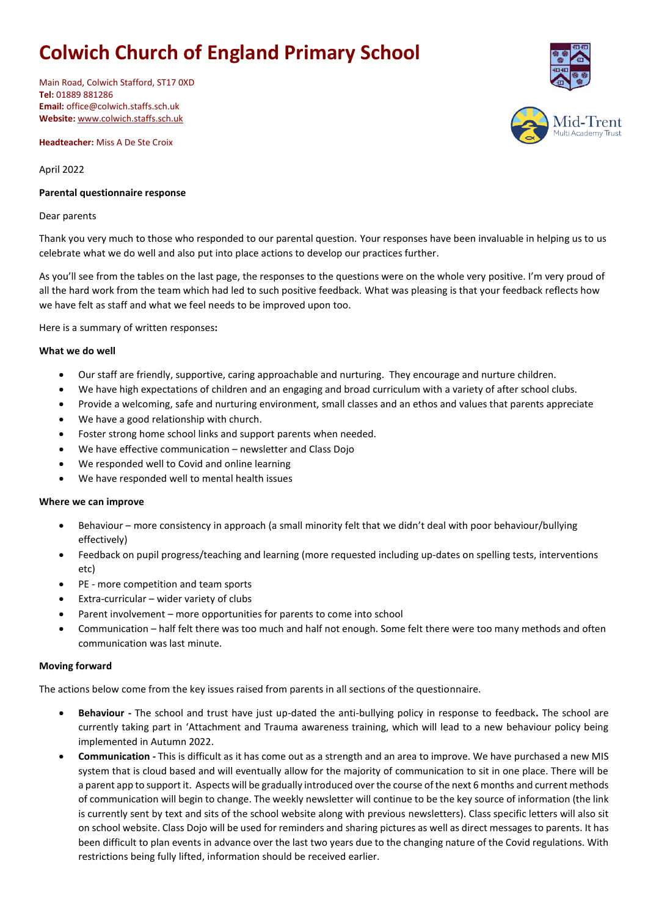# **Colwich Church of England Primary School**

Main Road, Colwich Stafford, ST17 0XD **Tel:** 01889 881286 **Email:** office@colwich.staffs.sch.uk **Website:** [www.colwich.staffs.sch.uk](http://www.colwich.staffs.sch.uk/)

**Headteacher:** Miss A De Ste Croix

April 2022

## **Parental questionnaire response**

#### Dear parents

Thank you very much to those who responded to our parental question. Your responses have been invaluable in helping us to us celebrate what we do well and also put into place actions to develop our practices further.

As you'll see from the tables on the last page, the responses to the questions were on the whole very positive. I'm very proud of all the hard work from the team which had led to such positive feedback. What was pleasing is that your feedback reflects how we have felt as staff and what we feel needs to be improved upon too.

Here is a summary of written responses**:**

## **What we do well**

- Our staff are friendly, supportive, caring approachable and nurturing. They encourage and nurture children.
- We have high expectations of children and an engaging and broad curriculum with a variety of after school clubs.
- Provide a welcoming, safe and nurturing environment, small classes and an ethos and values that parents appreciate
- We have a good relationship with church.
- Foster strong home school links and support parents when needed.
- We have effective communication newsletter and Class Dojo
- We responded well to Covid and online learning
- We have responded well to mental health issues

#### **Where we can improve**

- Behaviour more consistency in approach (a small minority felt that we didn't deal with poor behaviour/bullying effectively)
- Feedback on pupil progress/teaching and learning (more requested including up-dates on spelling tests, interventions etc)
- PE more competition and team sports
- Extra-curricular wider variety of clubs
- Parent involvement more opportunities for parents to come into school
- Communication half felt there was too much and half not enough. Some felt there were too many methods and often communication was last minute.

#### **Moving forward**

The actions below come from the key issues raised from parents in all sections of the questionnaire.

- **Behaviour -** The school and trust have just up-dated the anti-bullying policy in response to feedback**.** The school are currently taking part in 'Attachment and Trauma awareness training, which will lead to a new behaviour policy being implemented in Autumn 2022.
- **Communication -** This is difficult as it has come out as a strength and an area to improve. We have purchased a new MIS system that is cloud based and will eventually allow for the majority of communication to sit in one place. There will be a parent app to support it. Aspects will be gradually introduced over the course of the next 6 months and current methods of communication will begin to change. The weekly newsletter will continue to be the key source of information (the link is currently sent by text and sits of the school website along with previous newsletters). Class specific letters will also sit on school website. Class Dojo will be used for reminders and sharing pictures as well as direct messages to parents. It has been difficult to plan events in advance over the last two years due to the changing nature of the Covid regulations. With restrictions being fully lifted, information should be received earlier.

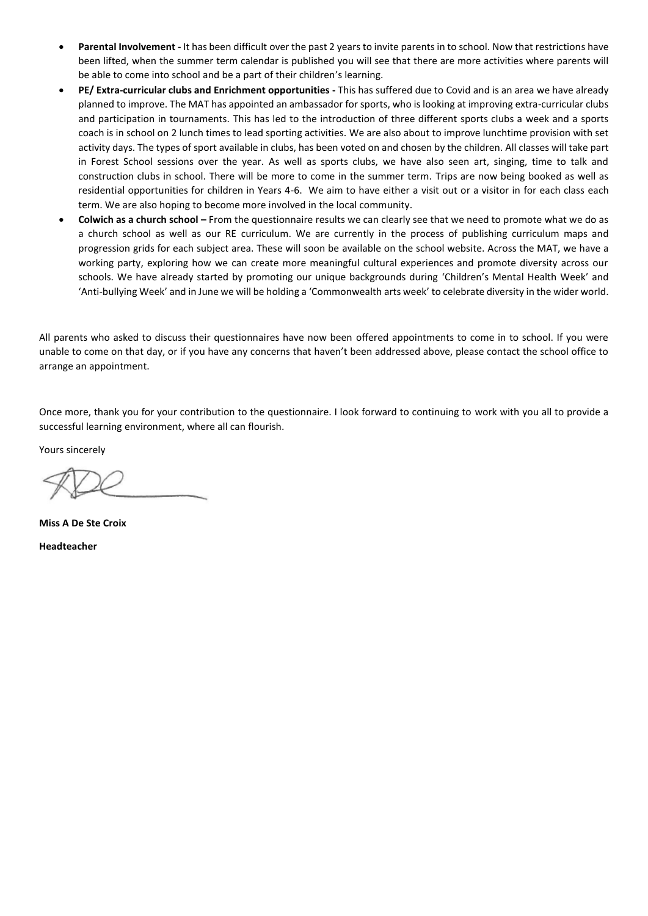- **Parental Involvement -** It has been difficult over the past 2 years to invite parents in to school. Now that restrictions have been lifted, when the summer term calendar is published you will see that there are more activities where parents will be able to come into school and be a part of their children's learning.
- **PE/ Extra-curricular clubs and Enrichment opportunities -** This has suffered due to Covid and is an area we have already planned to improve. The MAT has appointed an ambassador for sports, who is looking at improving extra-curricular clubs and participation in tournaments. This has led to the introduction of three different sports clubs a week and a sports coach is in school on 2 lunch times to lead sporting activities. We are also about to improve lunchtime provision with set activity days. The types of sport available in clubs, has been voted on and chosen by the children. All classes will take part in Forest School sessions over the year. As well as sports clubs, we have also seen art, singing, time to talk and construction clubs in school. There will be more to come in the summer term. Trips are now being booked as well as residential opportunities for children in Years 4-6. We aim to have either a visit out or a visitor in for each class each term. We are also hoping to become more involved in the local community.
- **Colwich as a church school –** From the questionnaire results we can clearly see that we need to promote what we do as a church school as well as our RE curriculum. We are currently in the process of publishing curriculum maps and progression grids for each subject area. These will soon be available on the school website. Across the MAT, we have a working party, exploring how we can create more meaningful cultural experiences and promote diversity across our schools. We have already started by promoting our unique backgrounds during 'Children's Mental Health Week' and 'Anti-bullying Week' and in June we will be holding a 'Commonwealth arts week' to celebrate diversity in the wider world.

All parents who asked to discuss their questionnaires have now been offered appointments to come in to school. If you were unable to come on that day, or if you have any concerns that haven't been addressed above, please contact the school office to arrange an appointment.

Once more, thank you for your contribution to the questionnaire. I look forward to continuing to work with you all to provide a successful learning environment, where all can flourish.

Yours sincerely

**Miss A De Ste Croix Headteacher**